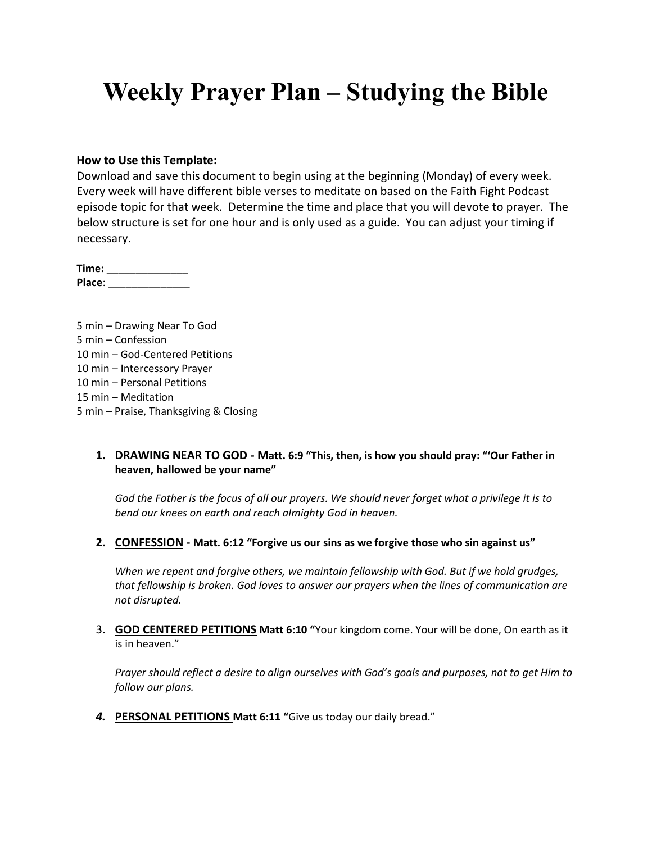# **Weekly Prayer Plan – Studying the Bible**

### **How to Use this Template:**

Download and save this document to begin using at the beginning (Monday) of every week. Every week will have different bible verses to meditate on based on the Faith Fight Podcast episode topic for that week. Determine the time and place that you will devote to prayer. The below structure is set for one hour and is only used as a guide. You can adjust your timing if necessary.

**Time:** \_\_\_\_\_\_\_\_\_\_\_\_\_\_ **Place**: \_\_\_\_\_\_\_\_\_\_\_\_\_\_

5 min – Drawing Near To God 5 min – Confession 10 min – God-Centered Petitions 10 min – Intercessory Prayer 10 min – Personal Petitions 15 min – Meditation 5 min – Praise, Thanksgiving & Closing

### **1. DRAWING NEAR TO GOD - Matt. 6:9 "This, then, is how you should pray: "'Our Father in heaven, hallowed be your name"**

*God the Father is the focus of all our prayers. We should never forget what a privilege it is to bend our knees on earth and reach almighty God in heaven.*

**2. CONFESSION - Matt. 6:12 "Forgive us our sins as we forgive those who sin against us"**

*When we repent and forgive others, we maintain fellowship with God. But if we hold grudges, that fellowship is broken. God loves to answer our prayers when the lines of communication are not disrupted.*

3. **GOD CENTERED PETITIONS Matt 6:10 "**Your kingdom come. Your will be done, On earth as it is in heaven."

*Prayer should reflect a desire to align ourselves with God's goals and purposes, not to get Him to follow our plans.*

*4.* **PERSONAL PETITIONS Matt 6:11 "**Give us today our daily bread."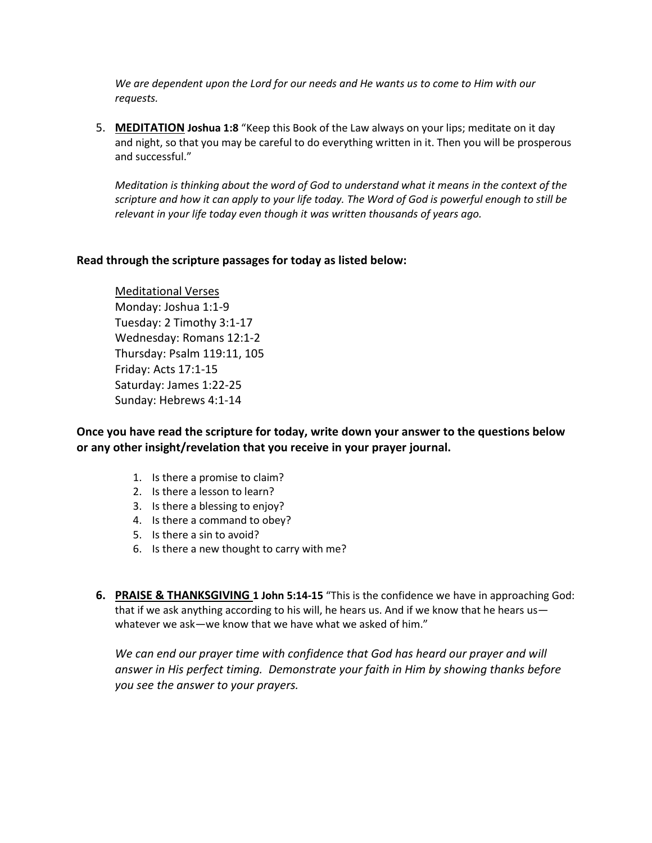*We are dependent upon the Lord for our needs and He wants us to come to Him with our requests.*

5. **MEDITATION Joshua 1:8** "Keep this Book of the Law always on your lips; meditate on it day and night, so that you may be careful to do everything written in it. Then you will be prosperous and successful."

*Meditation is thinking about the word of God to understand what it means in the context of the scripture and how it can apply to your life today. The Word of God is powerful enough to still be relevant in your life today even though it was written thousands of years ago.*

## **Read through the scripture passages for today as listed below:**

Meditational Verses Monday: Joshua 1:1-9 Tuesday: 2 Timothy 3:1-17 Wednesday: Romans 12:1-2 Thursday: Psalm 119:11, 105 Friday: Acts 17:1-15 Saturday: James 1:22-25 Sunday: Hebrews 4:1-14

**Once you have read the scripture for today, write down your answer to the questions below or any other insight/revelation that you receive in your prayer journal.** 

- 1. Is there a promise to claim?
- 2. Is there a lesson to learn?
- 3. Is there a blessing to enjoy?
- 4. Is there a command to obey?
- 5. Is there a sin to avoid?
- 6. Is there a new thought to carry with me?
- **6. PRAISE & THANKSGIVING 1 John 5:14-15** "This is the confidence we have in approaching God: that if we ask anything according to his will, he hears us. And if we know that he hears us whatever we ask—we know that we have what we asked of him."

We can end our prayer time with confidence that God has heard our prayer and will *answer in His perfect timing. Demonstrate your faith in Him by showing thanks before you see the answer to your prayers.*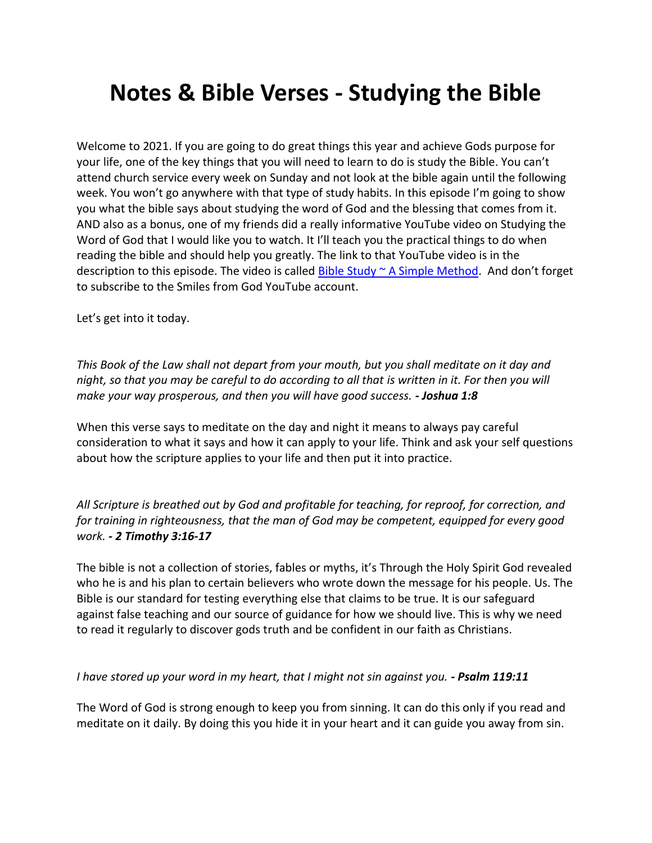# **Notes & Bible Verses - Studying the Bible**

Welcome to 2021. If you are going to do great things this year and achieve Gods purpose for your life, one of the key things that you will need to learn to do is study the Bible. You can't attend church service every week on Sunday and not look at the bible again until the following week. You won't go anywhere with that type of study habits. In this episode I'm going to show you what the bible says about studying the word of God and the blessing that comes from it. AND also as a bonus, one of my friends did a really informative YouTube video on Studying the Word of God that I would like you to watch. It I'll teach you the practical things to do when reading the bible and should help you greatly. The link to that YouTube video is in the description to this episode. The video is called Bible Study  $\sim$  A Simple Method. And don't forget to subscribe to the Smiles from God YouTube account.

Let's get into it today.

*This Book of the Law shall not depart from your mouth, but you shall meditate on it day and night, so that you may be careful to do according to all that is written in it. For then you will make your way prosperous, and then you will have good success. - Joshua 1:8*

When this verse says to meditate on the day and night it means to always pay careful consideration to what it says and how it can apply to your life. Think and ask your self questions about how the scripture applies to your life and then put it into practice.

*All Scripture is breathed out by God and profitable for teaching, for reproof, for correction, and for training in righteousness, that the man of God may be competent, equipped for every good work. - 2 Timothy 3:16-17*

The bible is not a collection of stories, fables or myths, it's Through the Holy Spirit God revealed who he is and his plan to certain believers who wrote down the message for his people. Us. The Bible is our standard for testing everything else that claims to be true. It is our safeguard against false teaching and our source of guidance for how we should live. This is why we need to read it regularly to discover gods truth and be confident in our faith as Christians.

#### *I have stored up your word in my heart, that I might not sin against you. - Psalm 119:11*

The Word of God is strong enough to keep you from sinning. It can do this only if you read and meditate on it daily. By doing this you hide it in your heart and it can guide you away from sin.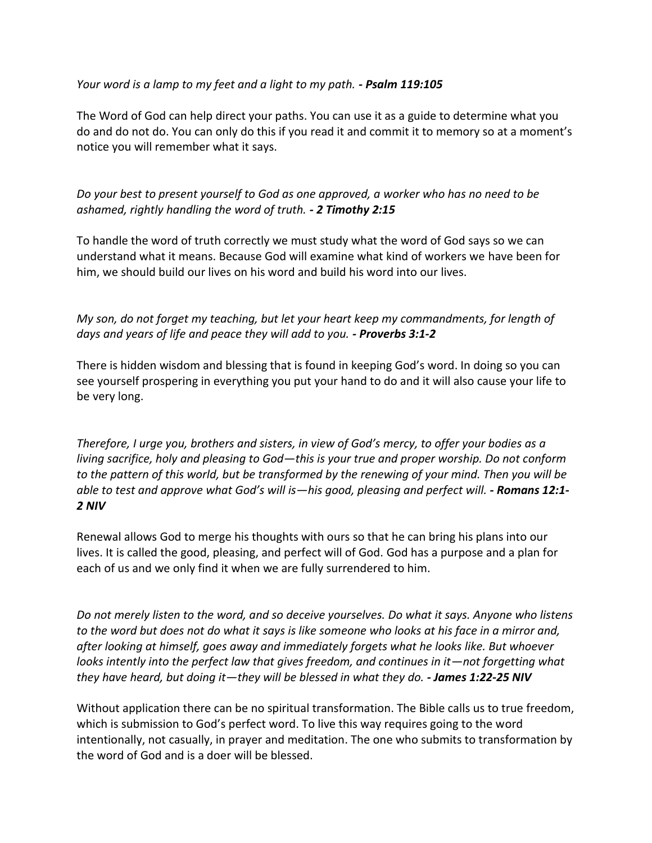# *Your word is a lamp to my feet and a light to my path. - Psalm 119:105*

The Word of God can help direct your paths. You can use it as a guide to determine what you do and do not do. You can only do this if you read it and commit it to memory so at a moment's notice you will remember what it says.

*Do your best to present yourself to God as one approved, a worker who has no need to be ashamed, rightly handling the word of truth. - 2 Timothy 2:15*

To handle the word of truth correctly we must study what the word of God says so we can understand what it means. Because God will examine what kind of workers we have been for him, we should build our lives on his word and build his word into our lives.

*My son, do not forget my teaching, but let your heart keep my commandments, for length of days and years of life and peace they will add to you. - Proverbs 3:1-2*

There is hidden wisdom and blessing that is found in keeping God's word. In doing so you can see yourself prospering in everything you put your hand to do and it will also cause your life to be very long.

*Therefore, I urge you, brothers and sisters, in view of God's mercy, to offer your bodies as a living sacrifice, holy and pleasing to God—this is your true and proper worship. Do not conform to the pattern of this world, but be transformed by the renewing of your mind. Then you will be able to test and approve what God's will is—his good, pleasing and perfect will. - Romans 12:1- 2 NIV*

Renewal allows God to merge his thoughts with ours so that he can bring his plans into our lives. It is called the good, pleasing, and perfect will of God. God has a purpose and a plan for each of us and we only find it when we are fully surrendered to him.

*Do not merely listen to the word, and so deceive yourselves. Do what it says. Anyone who listens to the word but does not do what it says is like someone who looks at his face in a mirror and, after looking at himself, goes away and immediately forgets what he looks like. But whoever looks intently into the perfect law that gives freedom, and continues in it*—not forgetting what *they have heard, but doing it—they will be blessed in what they do. - James 1:22-25 NIV*

Without application there can be no spiritual transformation. The Bible calls us to true freedom, which is submission to God's perfect word. To live this way requires going to the word intentionally, not casually, in prayer and meditation. The one who submits to transformation by the word of God and is a doer will be blessed.